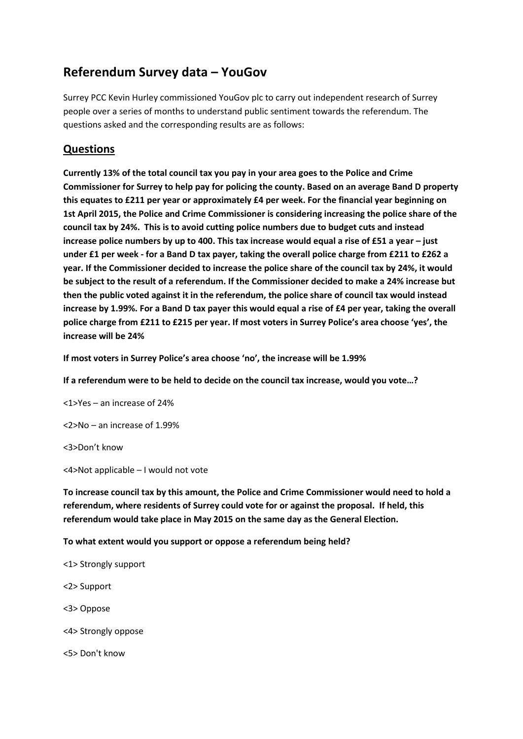## **Referendum Survey data – YouGov**

Surrey PCC Kevin Hurley commissioned YouGov plc to carry out independent research of Surrey people over a series of months to understand public sentiment towards the referendum. The questions asked and the corresponding results are as follows:

## **Questions**

**Currently 13% of the total council tax you pay in your area goes to the Police and Crime Commissioner for Surrey to help pay for policing the county. Based on an average Band D property this equates to £211 per year or approximately £4 per week. For the financial year beginning on 1st April 2015, the Police and Crime Commissioner is considering increasing the police share of the council tax by 24%. This is to avoid cutting police numbers due to budget cuts and instead increase police numbers by up to 400. This tax increase would equal a rise of £51 a year – just under £1 per week - for a Band D tax payer, taking the overall police charge from £211 to £262 a year. If the Commissioner decided to increase the police share of the council tax by 24%, it would be subject to the result of a referendum. If the Commissioner decided to make a 24% increase but then the public voted against it in the referendum, the police share of council tax would instead increase by 1.99%. For a Band D tax payer this would equal a rise of £4 per year, taking the overall police charge from £211 to £215 per year. If most voters in Surrey Police's area choose 'yes', the increase will be 24%**

**If most voters in Surrey Police's area choose 'no', the increase will be 1.99%** 

**If a referendum were to be held to decide on the council tax increase, would you vote…?**

<1>Yes – an increase of 24%

<2>No – an increase of 1.99%

<3>Don't know

<4>Not applicable – I would not vote

**To increase council tax by this amount, the Police and Crime Commissioner would need to hold a referendum, where residents of Surrey could vote for or against the proposal. If held, this referendum would take place in May 2015 on the same day as the General Election.**

**To what extent would you support or oppose a referendum being held?**

- <1> Strongly support
- <2> Support
- <3> Oppose
- <4> Strongly oppose

<5> Don't know